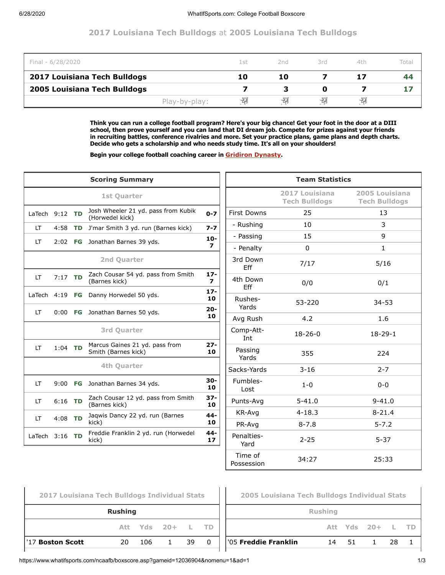## **2017 Louisiana Tech Bulldogs** at **2005 Louisiana Tech Bulldogs**

| Final - 6/28/2020            |               | 1 st | 2nd | 3rd | 4th | Total |
|------------------------------|---------------|------|-----|-----|-----|-------|
| 2017 Louisiana Tech Bulldogs |               | 10   | 10  |     | 17  | 44    |
| 2005 Louisiana Tech Bulldogs |               |      |     |     |     |       |
|                              | Play-by-play: | 切    | -ZJ | -27 | 栩   |       |

**Think you can run a college football program? Here's your big chance! Get your foot in the door at a DIII school, then prove yourself and you can land that DI dream job. Compete for prizes against your friends in recruiting battles, conference rivalries and more. Set your practice plans, game plans and depth charts. Decide who gets a scholarship and who needs study time. It's all on your shoulders!**

**Begin your college football coaching career in [Gridiron Dynasty](https://www.whatifsports.com/gd/).**

|                                 |           | <b>Scoring Summary</b>                                 | <b>Team Statistics</b>   |                       |                                        |                                        |  |  |  |
|---------------------------------|-----------|--------------------------------------------------------|--------------------------|-----------------------|----------------------------------------|----------------------------------------|--|--|--|
|                                 |           | <b>1st Quarter</b>                                     |                          |                       | 2017 Louisiana<br><b>Tech Bulldogs</b> | 2005 Louisiana<br><b>Tech Bulldogs</b> |  |  |  |
| LaTech $9:12$ TD                |           | Josh Wheeler 21 yd. pass from Kubik<br>(Horwedel kick) | $0 - 7$                  | <b>First Downs</b>    | 25                                     | 13                                     |  |  |  |
| <b>LT</b>                       | 4:58      | TD J'mar Smith 3 yd. run (Barnes kick)                 | $7 - 7$                  | - Rushing             | 10                                     | 3                                      |  |  |  |
| 2:02 FG Jonathan Barnes 39 yds. |           | $10-$                                                  | - Passing                | 15                    | 9                                      |                                        |  |  |  |
| LT                              |           |                                                        | 7                        | - Penalty             | 0                                      | 1                                      |  |  |  |
|                                 |           | 2nd Quarter                                            |                          | 3rd Down<br>Eff       | 7/17                                   | 5/16                                   |  |  |  |
| <b>LT</b>                       | $7:17$ TD | Zach Cousar 54 yd. pass from Smith<br>(Barnes kick)    | $17 -$<br>$\overline{ }$ | 4th Down<br>Eff       | 0/0                                    | 0/1                                    |  |  |  |
|                                 |           | LaTech 4:19 FG Danny Horwedel 50 yds.                  | $17 -$<br>10             | Rushes-               | 53-220                                 | $34 - 53$                              |  |  |  |
| <b>LT</b>                       |           | 0:00 FG Jonathan Barnes 50 yds.                        | $20 -$<br>10             | Yards<br>Avg Rush     | 4.2                                    | 1.6                                    |  |  |  |
|                                 |           | <b>3rd Quarter</b>                                     |                          | Comp-Att-<br>Int      | $18 - 26 - 0$                          | $18-29-1$                              |  |  |  |
| LT                              | $1:04$ TD | Marcus Gaines 21 yd. pass from<br>Smith (Barnes kick)  | $27 -$<br>10             | Passing<br>Yards      | 355                                    | 224                                    |  |  |  |
|                                 |           | 4th Quarter                                            |                          | Sacks-Yards           | $3 - 16$                               | $2 - 7$                                |  |  |  |
| <b>LT</b>                       |           | 9:00 FG Jonathan Barnes 34 yds.                        | $30 -$<br>10             | Fumbles-<br>Lost      | $1 - 0$                                | $0-0$                                  |  |  |  |
| LT                              | $6:16$ TD | Zach Cousar 12 yd. pass from Smith<br>(Barnes kick)    | $37 -$<br>10             | Punts-Avg             | $5 - 41.0$                             | $9 - 41.0$                             |  |  |  |
| LT                              | $4:08$ TD | Jagwis Dancy 22 yd. run (Barnes                        | $44 -$                   | KR-Avg                | $4 - 18.3$                             | $8 - 21.4$                             |  |  |  |
|                                 |           | kick)                                                  | 10                       | PR-Avg                | $8 - 7.8$                              | $5 - 7.2$                              |  |  |  |
| LaTech $3:16$ TD                |           | Freddie Franklin 2 yd. run (Horwedel<br>kick)          | 44-<br>17 <sub>2</sub>   | Penalties-<br>Yard    | $2 - 25$                               | $5 - 37$                               |  |  |  |
|                                 |           |                                                        |                          | Time of<br>Possession | 34:27                                  | 25:33                                  |  |  |  |

⊢

| 2017 Louisiana Tech Bulldogs Individual Stats |    |     |                  |    |  |  |  |  |  |  |  |  |
|-----------------------------------------------|----|-----|------------------|----|--|--|--|--|--|--|--|--|
| <b>Rushing</b>                                |    |     |                  |    |  |  |  |  |  |  |  |  |
|                                               |    |     | Att Yds 20+ L TD |    |  |  |  |  |  |  |  |  |
| '17 Boston Scott                              | 20 | 106 | $\mathbf{1}$     | 39 |  |  |  |  |  |  |  |  |
|                                               |    |     |                  |    |  |  |  |  |  |  |  |  |

| 2005 Louisiana Tech Bulldogs Individual Stats |  |  |                  |  |  |  |  |  |  |  |
|-----------------------------------------------|--|--|------------------|--|--|--|--|--|--|--|
| <b>Rushing</b>                                |  |  |                  |  |  |  |  |  |  |  |
|                                               |  |  | Att Yds 20+ L TD |  |  |  |  |  |  |  |
| '05 <b>Freddie Franklin</b>                   |  |  | 14 51 1 28       |  |  |  |  |  |  |  |
|                                               |  |  |                  |  |  |  |  |  |  |  |

https://www.whatifsports.com/ncaafb/boxscore.asp?gameid=12036904&nomenu=1&ad=1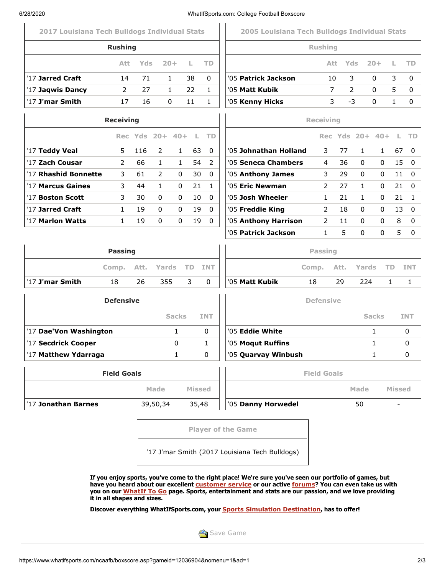| 6/28/2020                                     |                         |                 |              |              |               |              | WhatIfSports.com: College Football Boxscore   |                         |      |                 |              |                          |              |
|-----------------------------------------------|-------------------------|-----------------|--------------|--------------|---------------|--------------|-----------------------------------------------|-------------------------|------|-----------------|--------------|--------------------------|--------------|
| 2017 Louisiana Tech Bulldogs Individual Stats |                         |                 |              |              |               |              | 2005 Louisiana Tech Bulldogs Individual Stats |                         |      |                 |              |                          |              |
|                                               | <b>Rushing</b>          |                 |              |              |               |              |                                               | <b>Rushing</b>          |      |                 |              |                          |              |
|                                               | Att                     | Yds:            |              | $20 +$       | L             | TD           |                                               |                         | Att. | Yds             | $20 +$       | L                        | <b>TD</b>    |
| '17 Jarred Craft                              | 14                      | 71              |              | $\mathbf{1}$ | 38            | 0            | '05 <b>Patrick Jackson</b>                    |                         | 10   | 3               | 0            | 3                        | 0            |
| '17 Jaqwis Dancy                              | 2                       | 27              |              | 1            | 22            | $\mathbf{1}$ | '05 <b>Matt Kubik</b>                         |                         | 7    | 2               | $\mathbf{0}$ | 5                        | 0            |
| '17 J'mar Smith                               | 17                      | 16              |              | 0            | 11            | $\mathbf{1}$ | '05 Kenny Hicks                               |                         | 3    | $-3$            | 0            | $\mathbf{1}$             | 0            |
|                                               | <b>Receiving</b>        |                 |              |              |               |              |                                               | <b>Receiving</b>        |      |                 |              |                          |              |
|                                               |                         | Rec Yds 20+ 40+ |              |              | - L           | <b>TD</b>    |                                               |                         |      | Rec Yds 20+ 40+ |              | L.                       | <b>TD</b>    |
| '17 Teddy Veal                                | 5                       | 116             | 2            | $\mathbf{1}$ | 63            | 0            | '05 Johnathan Holland                         | 3                       | 77   | $\mathbf{1}$    | $\mathbf{1}$ | 67                       | $\mathbf{0}$ |
| '17 Zach Cousar                               | $\overline{2}$          | 66              | $\mathbf{1}$ | $\mathbf{1}$ | 54            | 2            | '05 Seneca Chambers                           | 4                       | 36   | 0               | 0            | 15                       | 0            |
| '17 Rhashid Bonnette                          | 3                       | 61              | 2            | 0            | 30            | 0            | '05 Anthony James                             | 3                       | 29   | 0               | 0            | 11                       | 0            |
| '17 Marcus Gaines                             | 3                       | 44              | $\mathbf{1}$ | 0            | 21            | $\mathbf{1}$ | '05 Eric Newman                               | 2                       | 27   | $\mathbf{1}$    | 0            | 21                       | 0            |
| '17 Boston Scott                              | 3                       | 30              | 0            | 0            | 10            | $\Omega$     | '05 Josh Wheeler                              | $\mathbf{1}$            | 21   | $\mathbf{1}$    | 0            | 21                       | $\mathbf{1}$ |
| '17 Jarred Craft                              | $\mathbf{1}$            | 19              | 0            | 0            | 19            | 0            | '05 Freddie King                              | 2                       | 18   | 0               | 0            | 13                       | 0            |
| '17 Marlon Watts                              | $\mathbf{1}$            | 19              | 0            | 0            | 19            | $\mathbf{0}$ | '05 Anthony Harrison<br>'05 Patrick Jackson   | 2                       | 11   | $\Omega$        | 0            | 8<br>5                   | $\mathbf{0}$ |
|                                               | <b>Passing</b><br>Comp. | Att.            | Yards        |              | TD.           | <b>INT</b>   |                                               | <b>Passing</b><br>Comp. | Att. | Yards           |              | <b>TD</b>                | <b>INT</b>   |
| '17 J'mar Smith                               | 18                      | 26              | 355          |              | 3             | $\mathbf 0$  | '05 Matt Kubik                                | 18                      | 29   | 224             |              | 1                        | 1            |
|                                               | <b>Defensive</b>        |                 |              |              |               |              |                                               | <b>Defensive</b>        |      |                 |              |                          |              |
|                                               |                         |                 |              | <b>Sacks</b> |               | <b>INT</b>   |                                               |                         |      |                 | <b>Sacks</b> |                          | <b>INT</b>   |
| '17 Dae'Von Washington                        |                         |                 |              | $\mathbf{1}$ |               | $\Omega$     | '05 <b>Eddie White</b>                        |                         |      |                 | $\mathbf{1}$ |                          | $\mathbf 0$  |
| '17 Secdrick Cooper                           |                         |                 |              | 0            |               | 1            | '05 Moqut Ruffins                             |                         |      |                 | 1            |                          | 0            |
| '17 Matthew Ydarraga                          |                         |                 |              | $\mathbf{1}$ |               | $\Omega$     | '05 Quarvay Winbush                           |                         |      |                 | 1            |                          | 0            |
|                                               | <b>Field Goals</b>      |                 |              |              |               |              |                                               | <b>Field Goals</b>      |      |                 |              |                          |              |
|                                               |                         |                 | Made         |              | <b>Missed</b> |              |                                               |                         |      | Made            |              | <b>Missed</b>            |              |
| '17 Jonathan Barnes                           |                         |                 | 39,50,34     |              | 35,48         |              | '05 Danny Horwedel                            |                         |      | 50              |              | $\overline{\phantom{a}}$ |              |
|                                               |                         |                 |              |              |               |              |                                               |                         |      |                 |              |                          |              |
|                                               |                         |                 |              |              |               |              | <b>Player of the Game</b>                     |                         |      |                 |              |                          |              |

**If you enjoy sports, you've come to the right place! We're sure you've seen our portfolio of games, but have you heard about our excellent [customer service](https://www.whatifsports.com/knowledgebase) or our active [forums](https://www.whatifsports.com/forums/)? You can even take us with you on our [WhatIf To Go](https://www.whatifsports.com/whatiftogo/) page. Sports, entertainment and stats are our passion, and we love providing it in all shapes and sizes.**

**Discover everything WhatIfSports.com, your [Sports Simulation Destination](https://www.whatifsports.com/locker/), has to offer!**